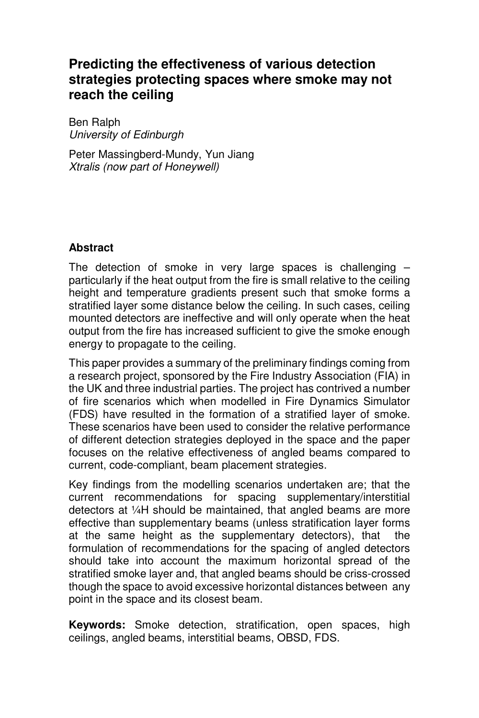# **Predicting the effectiveness of various detection strategies protecting spaces where smoke may not reach the ceiling**

Ben Ralph University of Edinburgh

Peter Massingberd-Mundy, Yun Jiang Xtralis (now part of Honeywell)

## **Abstract**

The detection of smoke in very large spaces is challenging – particularly if the heat output from the fire is small relative to the ceiling height and temperature gradients present such that smoke forms a stratified layer some distance below the ceiling. In such cases, ceiling mounted detectors are ineffective and will only operate when the heat output from the fire has increased sufficient to give the smoke enough energy to propagate to the ceiling.

This paper provides a summary of the preliminary findings coming from a research project, sponsored by the Fire Industry Association (FIA) in the UK and three industrial parties. The project has contrived a number of fire scenarios which when modelled in Fire Dynamics Simulator (FDS) have resulted in the formation of a stratified layer of smoke. These scenarios have been used to consider the relative performance of different detection strategies deployed in the space and the paper focuses on the relative effectiveness of angled beams compared to current, code-compliant, beam placement strategies.

Key findings from the modelling scenarios undertaken are; that the current recommendations for spacing supplementary/interstitial detectors at ¼H should be maintained, that angled beams are more effective than supplementary beams (unless stratification layer forms at the same height as the supplementary detectors), that the formulation of recommendations for the spacing of angled detectors should take into account the maximum horizontal spread of the stratified smoke layer and, that angled beams should be criss-crossed though the space to avoid excessive horizontal distances between any point in the space and its closest beam.

**Keywords:** Smoke detection, stratification, open spaces, high ceilings, angled beams, interstitial beams, OBSD, FDS.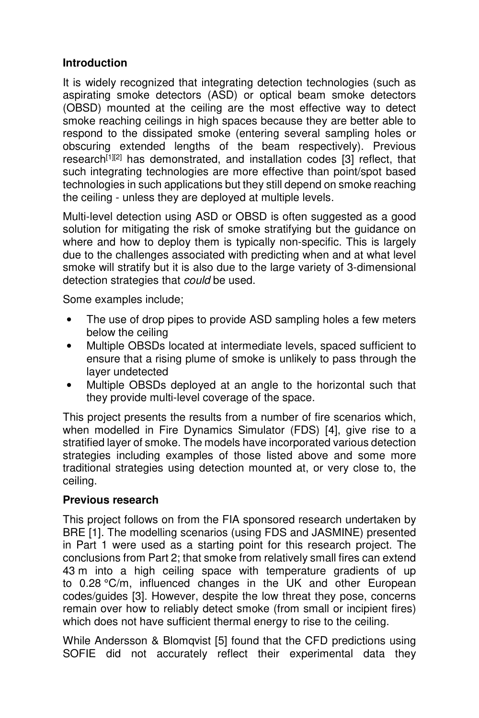# **Introduction**

It is widely recognized that integrating detection technologies (such as aspirating smoke detectors (ASD) or optical beam smoke detectors (OBSD) mounted at the ceiling are the most effective way to detect smoke reaching ceilings in high spaces because they are better able to respond to the dissipated smoke (entering several sampling holes or obscuring extended lengths of the beam respectively). Previous research<sup>[1][2]</sup> has demonstrated, and installation codes [3] reflect, that such integrating technologies are more effective than point/spot based technologies in such applications but they still depend on smoke reaching the ceiling - unless they are deployed at multiple levels.

Multi-level detection using ASD or OBSD is often suggested as a good solution for mitigating the risk of smoke stratifying but the guidance on where and how to deploy them is typically non-specific. This is largely due to the challenges associated with predicting when and at what level smoke will stratify but it is also due to the large variety of 3-dimensional detection strategies that could be used.

Some examples include;

- The use of drop pipes to provide ASD sampling holes a few meters below the ceiling
- Multiple OBSDs located at intermediate levels, spaced sufficient to ensure that a rising plume of smoke is unlikely to pass through the layer undetected
- Multiple OBSDs deployed at an angle to the horizontal such that they provide multi-level coverage of the space.

This project presents the results from a number of fire scenarios which, when modelled in Fire Dynamics Simulator (FDS) [4], give rise to a stratified layer of smoke. The models have incorporated various detection strategies including examples of those listed above and some more traditional strategies using detection mounted at, or very close to, the ceiling.

## **Previous research**

This project follows on from the FIA sponsored research undertaken by BRE [1]. The modelling scenarios (using FDS and JASMINE) presented in Part 1 were used as a starting point for this research project. The conclusions from Part 2; that smoke from relatively small fires can extend 43 m into a high ceiling space with temperature gradients of up to 0.28 °C/m, influenced changes in the UK and other European codes/guides [3]. However, despite the low threat they pose, concerns remain over how to reliably detect smoke (from small or incipient fires) which does not have sufficient thermal energy to rise to the ceiling.

While Andersson & Blomqvist [5] found that the CFD predictions using SOFIE did not accurately reflect their experimental data they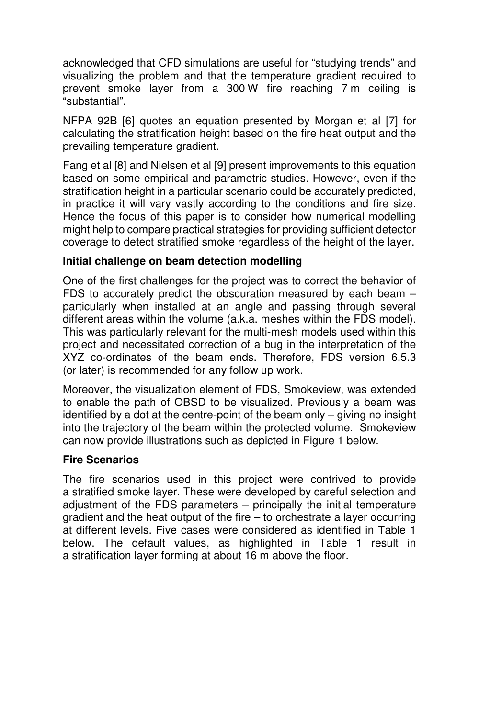acknowledged that CFD simulations are useful for "studying trends" and visualizing the problem and that the temperature gradient required to prevent smoke layer from a 300 W fire reaching 7 m ceiling is "substantial".

NFPA 92B [6] quotes an equation presented by Morgan et al [7] for calculating the stratification height based on the fire heat output and the prevailing temperature gradient.

Fang et al [8] and Nielsen et al [9] present improvements to this equation based on some empirical and parametric studies. However, even if the stratification height in a particular scenario could be accurately predicted, in practice it will vary vastly according to the conditions and fire size. Hence the focus of this paper is to consider how numerical modelling might help to compare practical strategies for providing sufficient detector coverage to detect stratified smoke regardless of the height of the layer.

#### **Initial challenge on beam detection modelling**

One of the first challenges for the project was to correct the behavior of FDS to accurately predict the obscuration measured by each beam – particularly when installed at an angle and passing through several different areas within the volume (a.k.a. meshes within the FDS model). This was particularly relevant for the multi-mesh models used within this project and necessitated correction of a bug in the interpretation of the XYZ co-ordinates of the beam ends. Therefore, FDS version 6.5.3 (or later) is recommended for any follow up work.

Moreover, the visualization element of FDS, Smokeview, was extended to enable the path of OBSD to be visualized. Previously a beam was identified by a dot at the centre-point of the beam only – giving no insight into the trajectory of the beam within the protected volume. Smokeview can now provide illustrations such as depicted in Figure 1 below.

#### **Fire Scenarios**

The fire scenarios used in this project were contrived to provide a stratified smoke layer. These were developed by careful selection and adjustment of the FDS parameters – principally the initial temperature gradient and the heat output of the fire – to orchestrate a layer occurring at different levels. Five cases were considered as identified in Table 1 below. The default values, as highlighted in Table 1 result in a stratification layer forming at about 16 m above the floor.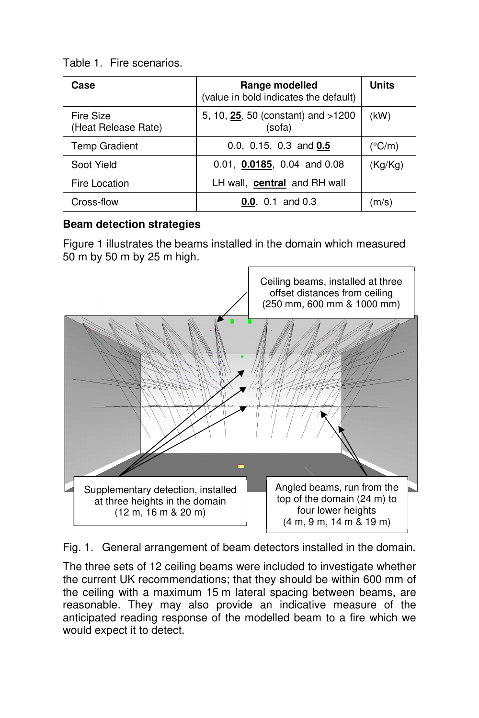Table 1. Fire scenarios.

| Case                             | Range modelled<br>(value in bold indicates the default) | <b>Units</b>    |
|----------------------------------|---------------------------------------------------------|-----------------|
| Fire Size<br>(Heat Release Rate) | 5, 10, 25, 50 (constant) and >1200<br>(sofa)            | (kW)            |
| <b>Temp Gradient</b>             | 0.0, 0.15, 0.3 and $0.5$                                | $(^{\circ}C/m)$ |
| Soot Yield                       | 0.01, $0.0185$ , 0.04 and 0.08                          | (Kg/Kg)         |
| Fire Location                    | LH wall, central and RH wall                            |                 |
| Cross-flow                       | <b>0.0.</b> 0.1 and 0.3                                 | (m/s)           |

# **Beam detection strategies**

Figure 1 illustrates the beams installed in the domain which measured 50 m by 50 m by 25 m high.



Fig. 1. General arrangement of beam detectors installed in the domain.

The three sets of 12 ceiling beams were included to investigate whether the current UK recommendations; that they should be within 600 mm of the ceiling with a maximum 15 m lateral spacing between beams, are reasonable. They may also provide an indicative measure of the anticipated reading response of the modelled beam to a fire which we would expect it to detect.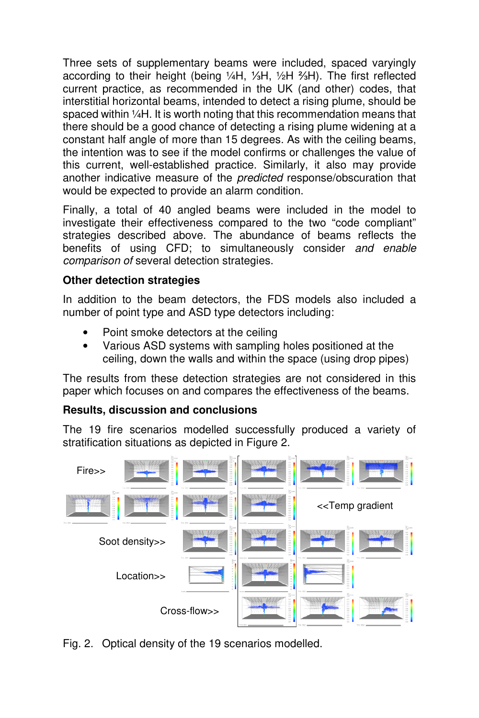Three sets of supplementary beams were included, spaced varyingly according to their height (being ¼H, ⅓H, ½H ⅔H). The first reflected current practice, as recommended in the UK (and other) codes, that interstitial horizontal beams, intended to detect a rising plume, should be spaced within 1/4H. It is worth noting that this recommendation means that there should be a good chance of detecting a rising plume widening at a constant half angle of more than 15 degrees. As with the ceiling beams, the intention was to see if the model confirms or challenges the value of this current, well-established practice. Similarly, it also may provide another indicative measure of the predicted response/obscuration that would be expected to provide an alarm condition.

Finally, a total of 40 angled beams were included in the model to investigate their effectiveness compared to the two "code compliant" strategies described above. The abundance of beams reflects the benefits of using CFD; to simultaneously consider and enable comparison of several detection strategies.

# **Other detection strategies**

In addition to the beam detectors, the FDS models also included a number of point type and ASD type detectors including:

- Point smoke detectors at the ceiling
- Various ASD systems with sampling holes positioned at the ceiling, down the walls and within the space (using drop pipes)

The results from these detection strategies are not considered in this paper which focuses on and compares the effectiveness of the beams.

## **Results, discussion and conclusions**

The 19 fire scenarios modelled successfully produced a variety of stratification situations as depicted in Figure 2.



Fig. 2. Optical density of the 19 scenarios modelled.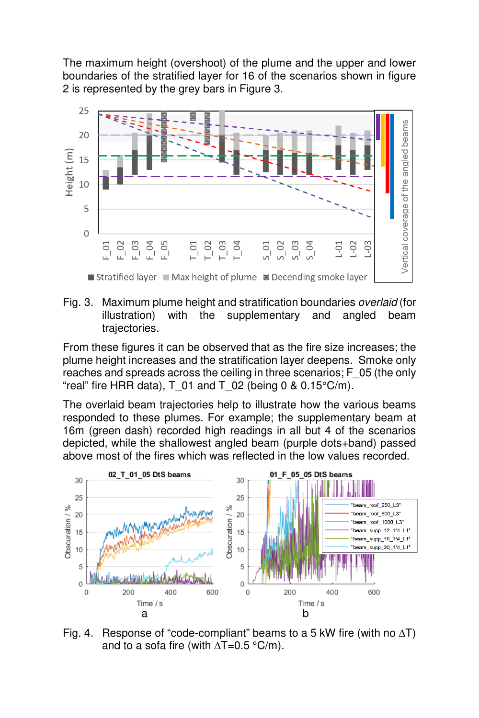The maximum height (overshoot) of the plume and the upper and lower boundaries of the stratified layer for 16 of the scenarios shown in figure 2 is represented by the grey bars in Figure 3.



Fig. 3. Maximum plume height and stratification boundaries overlaid (for illustration) with the supplementary and angled beam trajectories.

From these figures it can be observed that as the fire size increases; the plume height increases and the stratification layer deepens. Smoke only reaches and spreads across the ceiling in three scenarios; F\_05 (the only "real" fire HRR data),  $T$  01 and  $T$  02 (being 0 & 0.15°C/m).

The overlaid beam trajectories help to illustrate how the various beams responded to these plumes. For example; the supplementary beam at 16m (green dash) recorded high readings in all but 4 of the scenarios depicted, while the shallowest angled beam (purple dots+band) passed above most of the fires which was reflected in the low values recorded.



Fig. 4. Response of "code-compliant" beams to a 5 kW fire (with no  $\Delta T$ ) and to a sofa fire (with  $\Delta T$ =0.5 °C/m).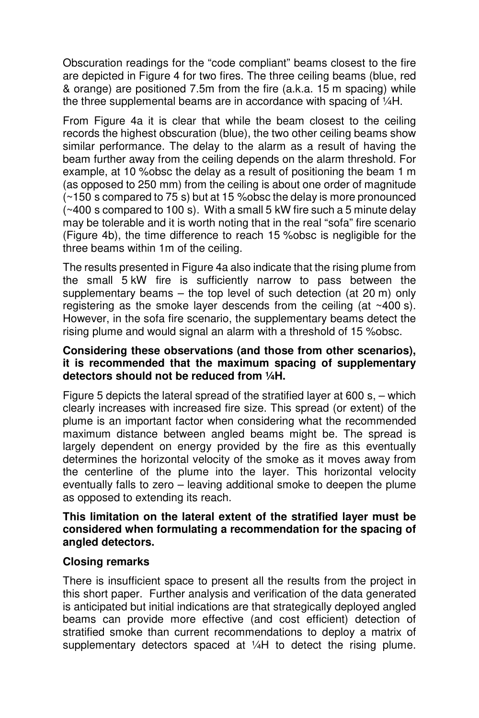Obscuration readings for the "code compliant" beams closest to the fire are depicted in Figure 4 for two fires. The three ceiling beams (blue, red & orange) are positioned 7.5m from the fire (a.k.a. 15 m spacing) while the three supplemental beams are in accordance with spacing of ¼H.

From Figure 4a it is clear that while the beam closest to the ceiling records the highest obscuration (blue), the two other ceiling beams show similar performance. The delay to the alarm as a result of having the beam further away from the ceiling depends on the alarm threshold. For example, at 10 %obsc the delay as a result of positioning the beam 1 m (as opposed to 250 mm) from the ceiling is about one order of magnitude (~150 s compared to 75 s) but at 15 %obsc the delay is more pronounced (~400 s compared to 100 s). With a small 5 kW fire such a 5 minute delay may be tolerable and it is worth noting that in the real "sofa" fire scenario (Figure 4b), the time difference to reach 15 %obsc is negligible for the three beams within 1m of the ceiling.

The results presented in Figure 4a also indicate that the rising plume from the small 5 kW fire is sufficiently narrow to pass between the supplementary beams – the top level of such detection (at 20 m) only registering as the smoke layer descends from the ceiling (at ~400 s). However, in the sofa fire scenario, the supplementary beams detect the rising plume and would signal an alarm with a threshold of 15 %obsc.

#### **Considering these observations (and those from other scenarios), it is recommended that the maximum spacing of supplementary detectors should not be reduced from ¼H.**

Figure 5 depicts the lateral spread of the stratified layer at 600 s,  $-$  which clearly increases with increased fire size. This spread (or extent) of the plume is an important factor when considering what the recommended maximum distance between angled beams might be. The spread is largely dependent on energy provided by the fire as this eventually determines the horizontal velocity of the smoke as it moves away from the centerline of the plume into the layer. This horizontal velocity eventually falls to zero – leaving additional smoke to deepen the plume as opposed to extending its reach.

#### **This limitation on the lateral extent of the stratified layer must be considered when formulating a recommendation for the spacing of angled detectors.**

## **Closing remarks**

There is insufficient space to present all the results from the project in this short paper. Further analysis and verification of the data generated is anticipated but initial indications are that strategically deployed angled beams can provide more effective (and cost efficient) detection of stratified smoke than current recommendations to deploy a matrix of supplementary detectors spaced at 1/4H to detect the rising plume.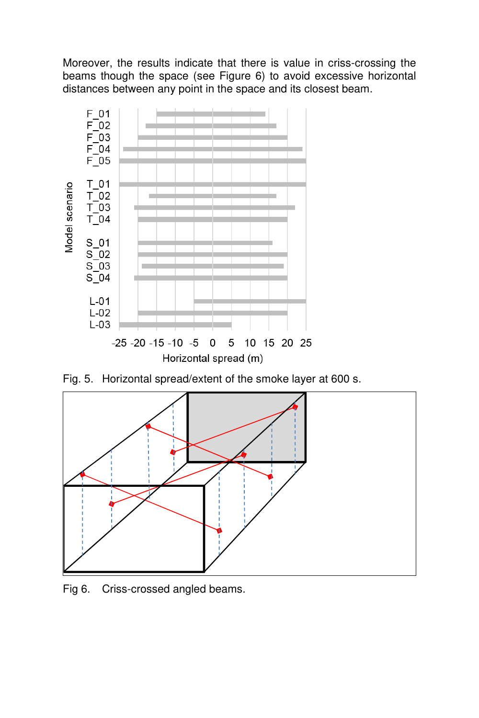Moreover, the results indicate that there is value in criss-crossing the beams though the space (see Figure 6) to avoid excessive horizontal distances between any point in the space and its closest beam.



Fig. 5. Horizontal spread/extent of the smoke layer at 600 s.



Fig 6. Criss-crossed angled beams.